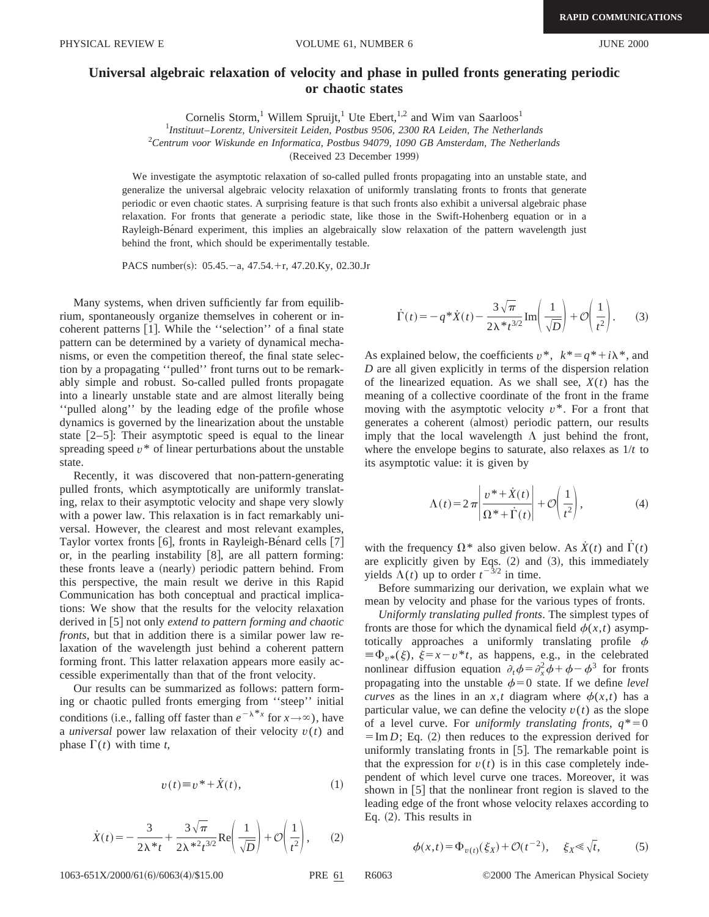## **Universal algebraic relaxation of velocity and phase in pulled fronts generating periodic or chaotic states**

Cornelis Storm,<sup>1</sup> Willem Spruijt,<sup>1</sup> Ute Ebert,<sup>1,2</sup> and Wim van Saarloos<sup>1</sup>

1 *Instituut*–*Lorentz, Universiteit Leiden, Postbus 9506, 2300 RA Leiden, The Netherlands*

2 *Centrum voor Wiskunde en Informatica, Postbus 94079, 1090 GB Amsterdam, The Netherlands*

(Received 23 December 1999)

We investigate the asymptotic relaxation of so-called pulled fronts propagating into an unstable state, and generalize the universal algebraic velocity relaxation of uniformly translating fronts to fronts that generate periodic or even chaotic states. A surprising feature is that such fronts also exhibit a universal algebraic phase relaxation. For fronts that generate a periodic state, like those in the Swift-Hohenberg equation or in a Rayleigh-Bénard experiment, this implies an algebraically slow relaxation of the pattern wavelength just behind the front, which should be experimentally testable.

PACS number(s):  $05.45.-a$ ,  $47.54.+r$ ,  $47.20.Ky$ ,  $02.30.Jr$ 

Many systems, when driven sufficiently far from equilibrium, spontaneously organize themselves in coherent or incoherent patterns  $[1]$ . While the "selection" of a final state pattern can be determined by a variety of dynamical mechanisms, or even the competition thereof, the final state selection by a propagating ''pulled'' front turns out to be remarkably simple and robust. So-called pulled fronts propagate into a linearly unstable state and are almost literally being ''pulled along'' by the leading edge of the profile whose dynamics is governed by the linearization about the unstable state  $[2-5]$ : Their asymptotic speed is equal to the linear spreading speed  $v^*$  of linear perturbations about the unstable state.

Recently, it was discovered that non-pattern-generating pulled fronts, which asymptotically are uniformly translating, relax to their asymptotic velocity and shape very slowly with a power law. This relaxation is in fact remarkably universal. However, the clearest and most relevant examples, Taylor vortex fronts  $[6]$ , fronts in Rayleigh-Be $\alpha$ ard cells  $[7]$ or, in the pearling instability  $[8]$ , are all pattern forming: these fronts leave a (nearly) periodic pattern behind. From this perspective, the main result we derive in this Rapid Communication has both conceptual and practical implications: We show that the results for the velocity relaxation derived in [5] not only *extend to pattern forming and chaotic fronts*, but that in addition there is a similar power law relaxation of the wavelength just behind a coherent pattern forming front. This latter relaxation appears more easily accessible experimentally than that of the front velocity.

Our results can be summarized as follows: pattern forming or chaotic pulled fronts emerging from ''steep'' initial conditions (i.e., falling off faster than  $e^{-\lambda^*x}$  for  $x \to \infty$ ), have a *universal* power law relaxation of their velocity  $v(t)$  and phase  $\Gamma(t)$  with time *t*,

$$
v(t) \equiv v^* + \dot{X}(t), \tag{1}
$$

$$
\dot{X}(t) = -\frac{3}{2\lambda^* t} + \frac{3\sqrt{\pi}}{2\lambda^{*2} t^{3/2}} \text{Re}\left(\frac{1}{\sqrt{D}}\right) + \mathcal{O}\left(\frac{1}{t^2}\right),\qquad(2)
$$

 $\dot{\Gamma}(t) = -q^* \dot{X}(t) - \frac{3 \sqrt{\pi}}{2 a^2}$  $\frac{3\sqrt{\pi}}{2\lambda*\iota^{3/2}}\operatorname{Im}\left(\frac{1}{\sqrt{D}}\right)+\mathcal{O}\left(\frac{1}{\iota^2}\right).$  (3)

As explained below, the coefficients  $v^*$ ,  $k^* = q^* + i\lambda^*$ , and *D* are all given explicitly in terms of the dispersion relation of the linearized equation. As we shall see,  $X(t)$  has the meaning of a collective coordinate of the front in the frame moving with the asymptotic velocity *v*\*. For a front that generates a coherent (almost) periodic pattern, our results imply that the local wavelength  $\Lambda$  just behind the front, where the envelope begins to saturate, also relaxes as 1/*t* to its asymptotic value: it is given by

$$
\Lambda(t) = 2\pi \left| \frac{v^* + \dot{X}(t)}{\Omega^* + \dot{\Gamma}(t)} \right| + \mathcal{O}\left(\frac{1}{t^2}\right),\tag{4}
$$

with the frequency  $\Omega^*$  also given below. As  $\dot{X}(t)$  and  $\dot{\Gamma}(t)$ are explicitly given by Eqs.  $(2)$  and  $(3)$ , this immediately yields  $\Lambda(t)$  up to order  $t^{-3/2}$  in time.

Before summarizing our derivation, we explain what we mean by velocity and phase for the various types of fronts.

*Uniformly translating pulled fronts*. The simplest types of fronts are those for which the dynamical field  $\phi(x,t)$  asymptotically approaches a uniformly translating profile  $\phi$  $\equiv \Phi_{v*}(\xi)$ ,  $\xi = x - v^*t$ , as happens, e.g., in the celebrated nonlinear diffusion equation  $\partial_t \phi = \partial_x^2 \phi + \phi - \phi^3$  for fronts propagating into the unstable  $\phi=0$  state. If we define *level curves* as the lines in an *x*,*t* diagram where  $\phi(x,t)$  has a particular value, we can define the velocity  $v(t)$  as the slope of a level curve. For *uniformly translating fronts*,  $q^* = 0$  $\overline{\text{F}}$  = Im *D*; Eq. (2) then reduces to the expression derived for uniformly translating fronts in  $[5]$ . The remarkable point is that the expression for  $v(t)$  is in this case completely independent of which level curve one traces. Moreover, it was shown in  $\lceil 5 \rceil$  that the nonlinear front region is slaved to the leading edge of the front whose velocity relaxes according to Eq.  $(2)$ . This results in

$$
\phi(x,t) = \Phi_{v(t)}(\xi_X) + \mathcal{O}(t^{-2}), \quad \xi_X \le \sqrt{t}, \tag{5}
$$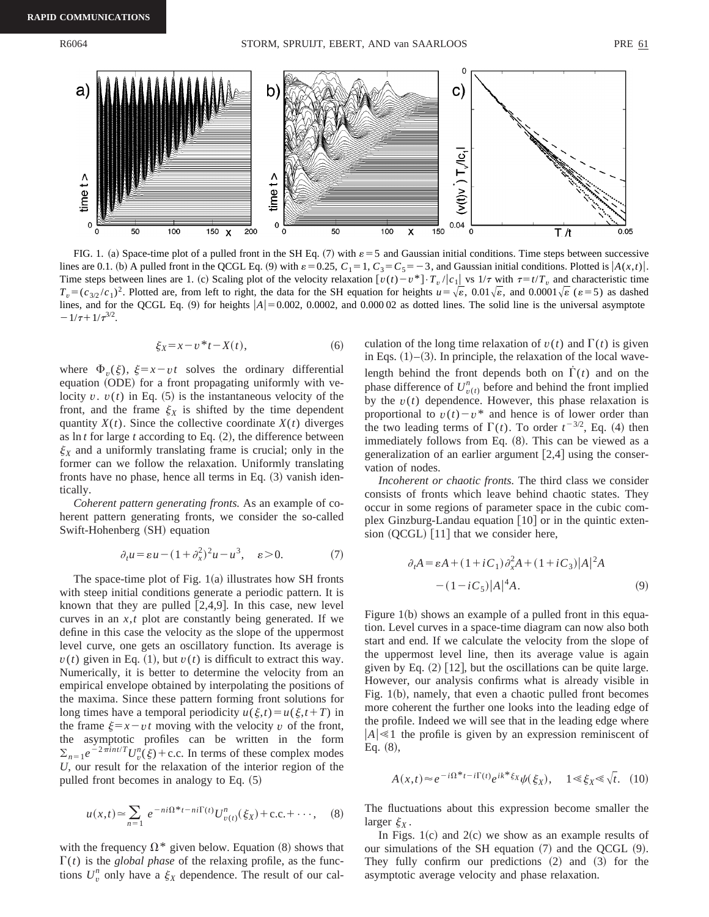

FIG. 1. (a) Space-time plot of a pulled front in the SH Eq.  $(7)$  with  $\varepsilon = 5$  and Gaussian initial conditions. Time steps between successive lines are 0.1. (b) A pulled front in the QCGL Eq. (9) with  $\varepsilon = 0.25$ ,  $C_1 = 1$ ,  $C_3 = C_5 = -3$ , and Gaussian initial conditions. Plotted is  $|A(x,t)|$ . Time steps between lines are 1. (c) Scaling plot of the velocity relaxation  $[v(t)-v^*]\cdot T_v/|c_1|$  vs  $1/\tau$  with  $\tau = t/T_v$  and characteristic time  $T_v = (c_{3/2}/c_1)^2$ . Plotted are, from left to right, the data for the SH equation for heights  $u = \sqrt{\varepsilon}$ , 0.01 $\sqrt{\varepsilon}$ , and 0.0001 $\sqrt{\varepsilon}$  ( $\varepsilon$ =5) as dashed lines, and for the QCGL Eq. (9) for heights  $|A| = 0.002$ , 0.0002, and 0.000 02 as dotted lines. The solid line is the universal asymptote  $-1/\tau+1/\tau^{3/2}$ .

$$
\xi_X = x - v^* t - X(t),\tag{6}
$$

where  $\Phi_{\nu}(\xi)$ ,  $\xi = x - vt$  solves the ordinary differential equation (ODE) for a front propagating uniformly with velocity  $v$ .  $v(t)$  in Eq. (5) is the instantaneous velocity of the front, and the frame  $\xi_X$  is shifted by the time dependent quantity  $X(t)$ . Since the collective coordinate  $X(t)$  diverges as  $\ln t$  for large  $t$  according to Eq.  $(2)$ , the difference between  $\xi_X$  and a uniformly translating frame is crucial; only in the former can we follow the relaxation. Uniformly translating fronts have no phase, hence all terms in Eq.  $(3)$  vanish identically.

*Coherent pattern generating fronts.* As an example of coherent pattern generating fronts, we consider the so-called Swift-Hohenberg (SH) equation

$$
\partial_t u = \varepsilon u - (1 + \partial_x^2)^2 u - u^3, \quad \varepsilon > 0. \tag{7}
$$

The space-time plot of Fig.  $1(a)$  illustrates how SH fronts with steep initial conditions generate a periodic pattern. It is known that they are pulled  $[2,4,9]$ . In this case, new level curves in an *x*,*t* plot are constantly being generated. If we define in this case the velocity as the slope of the uppermost level curve, one gets an oscillatory function. Its average is  $v(t)$  given in Eq. (1), but  $v(t)$  is difficult to extract this way. Numerically, it is better to determine the velocity from an empirical envelope obtained by interpolating the positions of the maxima. Since these pattern forming front solutions for long times have a temporal periodicity  $u(\xi,t) = u(\xi,t+T)$  in the frame  $\xi = x - vt$  moving with the velocity *v* of the front, the asymptotic profiles can be written in the form  $\sum_{n=1}e^{-2\pi int/T}U_v^n(\xi) + \text{c.c.}$  In terms of these complex modes *U*, our result for the relaxation of the interior region of the pulled front becomes in analogy to Eq.  $(5)$ 

$$
u(x,t) \approx \sum_{n=1}^{\infty} e^{-ni\Omega^{*}t - ni\Gamma(t)} U_{v(t)}^{n}(\xi_X) + \text{c.c.} + \cdots, \quad (8)
$$

with the frequency  $\Omega^*$  given below. Equation (8) shows that  $\Gamma(t)$  is the *global phase* of the relaxing profile, as the functions  $U_v^n$  only have a  $\xi_X$  dependence. The result of our calculation of the long time relaxation of  $v(t)$  and  $\Gamma(t)$  is given in Eqs.  $(1)$ – $(3)$ . In principle, the relaxation of the local wavelength behind the front depends both on  $\Gamma(t)$  and on the phase difference of  $U_{v(t)}^n$  before and behind the front implied by the  $v(t)$  dependence. However, this phase relaxation is proportional to  $v(t)-v^*$  and hence is of lower order than the two leading terms of  $\Gamma(t)$ . To order  $t^{-3/2}$ , Eq. (4) then immediately follows from Eq.  $(8)$ . This can be viewed as a generalization of an earlier argument  $[2,4]$  using the conservation of nodes.

*Incoherent or chaotic fronts.* The third class we consider consists of fronts which leave behind chaotic states. They occur in some regions of parameter space in the cubic complex Ginzburg-Landau equation  $[10]$  or in the quintic extension  $(QCGL)$  [11] that we consider here,

$$
\partial_t A = \varepsilon A + (1 + iC_1) \partial_x^2 A + (1 + iC_3) |A|^2 A
$$
  
 
$$
- (1 - iC_5) |A|^4 A.
$$
 (9)

Figure  $1(b)$  shows an example of a pulled front in this equation. Level curves in a space-time diagram can now also both start and end. If we calculate the velocity from the slope of the uppermost level line, then its average value is again given by Eq.  $(2)$  [12], but the oscillations can be quite large. However, our analysis confirms what is already visible in Fig. 1(b), namely, that even a chaotic pulled front becomes more coherent the further one looks into the leading edge of the profile. Indeed we will see that in the leading edge where  $|A|\ll 1$  the profile is given by an expression reminiscent of  $Eq. (8),$ 

$$
A(x,t) \approx e^{-i\Omega^* t - i\Gamma(t)} e^{ik^* \xi_X} \psi(\xi_X), \quad 1 \ll \xi_X \ll \sqrt{t}.
$$
 (10)

The fluctuations about this expression become smaller the larger  $\xi_X$ .

In Figs.  $1(c)$  and  $2(c)$  we show as an example results of our simulations of the SH equation  $(7)$  and the OCGL  $(9)$ . They fully confirm our predictions  $(2)$  and  $(3)$  for the asymptotic average velocity and phase relaxation.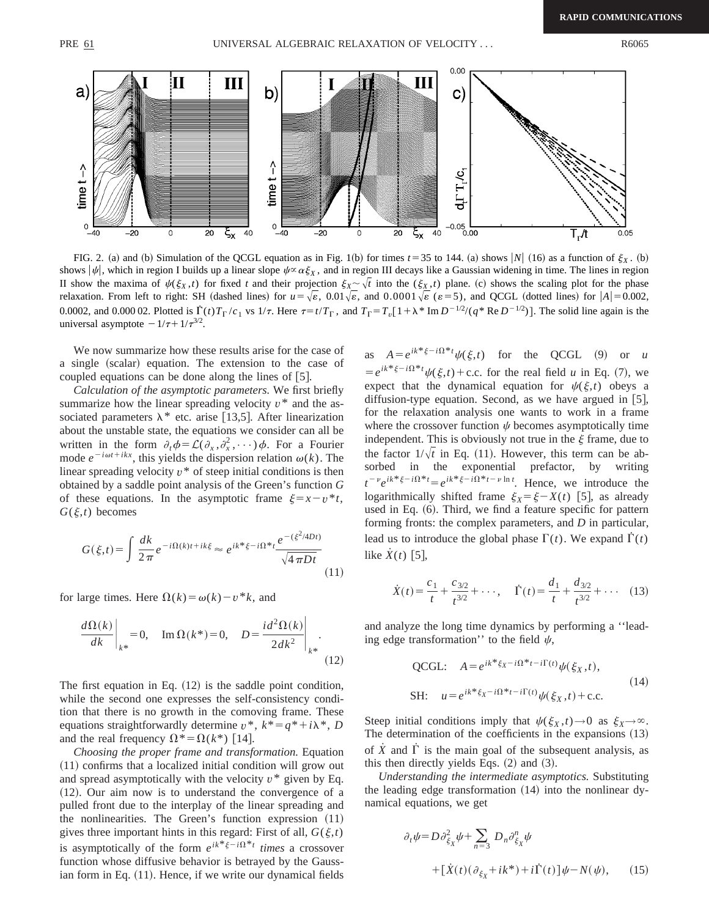

FIG. 2. (a) and (b) Simulation of the QCGL equation as in Fig. 1(b) for times  $t=35$  to 144. (a) shows |N| (16) as a function of  $\xi_X$ . (b) shows  $|\psi|$ , which in region I builds up a linear slope  $\psi \propto \alpha \xi_X$ , and in region III decays like a Gaussian widening in time. The lines in region II show the maxima of  $\psi(\xi_X,t)$  for fixed *t* and their projection  $\xi_X \sim \sqrt{t}$  into the  $(\xi_X,t)$  plane. (c) shows the scaling plot for the phase relaxation. From left to right: SH (dashed lines) for  $u = \sqrt{\varepsilon}$ , 0.01 $\sqrt{\varepsilon}$ , and 0.0001 $\sqrt{\varepsilon}$  ( $\varepsilon = 5$ ), and QCGL (dotted lines) for  $|A| = 0.002$ , 0.0002, and 0.000 02. Plotted is  $\Gamma(t)T_{\Gamma}/c_1$  vs  $1/\tau$ . Here  $\tau = t/T_{\Gamma}$ , and  $T_{\Gamma} = T_v[1 + \lambda^* \text{Im } D^{-1/2}/(q^* \text{Re } D^{-1/2})]$ . The solid line again is the universal asymptote  $-1/\tau+1/\tau^{3/2}$ .

We now summarize how these results arise for the case of a single (scalar) equation. The extension to the case of coupled equations can be done along the lines of  $[5]$ .

*Calculation of the asymptotic parameters.* We first briefly summarize how the linear spreading velocity  $v^*$  and the associated parameters  $\lambda^*$  etc. arise [13,5]. After linearization about the unstable state, the equations we consider can all be written in the form  $\partial_t \phi = \mathcal{L}(\partial_x, \partial_x^2, \cdots) \phi$ . For a Fourier mode  $e^{-i\omega t + ikx}$ , this yields the dispersion relation  $\omega(k)$ . The linear spreading velocity  $v^*$  of steep initial conditions is then obtained by a saddle point analysis of the Green's function *G* of these equations. In the asymptotic frame  $\xi = x - v^*t$ ,  $G(\xi,t)$  becomes

$$
G(\xi, t) = \int \frac{dk}{2\pi} e^{-i\Omega(k)t + ik\xi} \approx e^{ik^* \xi - i\Omega^* t} \frac{e^{-(\xi^2/4Dt)}}{\sqrt{4\pi Dt}} \tag{11}
$$

for large times. Here  $\Omega(k) = \omega(k) - v^*k$ , and

$$
\left. \frac{d\Omega(k)}{dk} \right|_{k^*} = 0, \quad \text{Im } \Omega(k^*) = 0, \quad D = \frac{i d^2 \Omega(k)}{2dk^2} \Big|_{k^*}.
$$
\n(12)

The first equation in Eq.  $(12)$  is the saddle point condition, while the second one expresses the self-consistency condition that there is no growth in the comoving frame. These equations straightforwardly determine  $v^*$ ,  $k^* = q^* + i\lambda^*$ , *D* and the real frequency  $\Omega^* = \Omega(k^*)$  [14].

*Choosing the proper frame and transformation.* Equation  $(11)$  confirms that a localized initial condition will grow out and spread asymptotically with the velocity  $v^*$  given by Eq.  $(12)$ . Our aim now is to understand the convergence of a pulled front due to the interplay of the linear spreading and the nonlinearities. The Green's function expression  $(11)$ gives three important hints in this regard: First of all,  $G(\xi,t)$ is asymptotically of the form  $e^{ik^* \xi - i\Omega^* t}$  *times* a crossover function whose diffusive behavior is betrayed by the Gaussian form in Eq. (11). Hence, if we write our dynamical fields

as  $A = e^{ik^* \xi - i\Omega^* t} \psi(\xi, t)$  for the QCGL (9) or *u*  $= e^{ik^* \xi - i\Omega^* t} \psi(\xi, t) + \text{c.c.}$  for the real field *u* in Eq. (7), we expect that the dynamical equation for  $\psi(\xi,t)$  obeys a diffusion-type equation. Second, as we have argued in  $[5]$ , for the relaxation analysis one wants to work in a frame where the crossover function  $\psi$  becomes asymptotically time independent. This is obviously not true in the  $\xi$  frame, due to the factor  $1/\sqrt{t}$  in Eq. (11). However, this term can be absorbed in the exponential prefactor, by writing  $t^{-\nu}e^{ik^*\xi-i\Omega^*t} = e^{ik^*\xi-i\Omega^*t-\nu\ln t}$ . Hence, we introduce the logarithmically shifted frame  $\xi_X = \xi - X(t)$  [5], as already used in Eq.  $(6)$ . Third, we find a feature specific for pattern forming fronts: the complex parameters, and *D* in particular, lead us to introduce the global phase  $\Gamma(t)$ . We expand  $\Gamma(t)$ like  $\dot{X}(t)$  [5],

$$
\dot{X}(t) = \frac{c_1}{t} + \frac{c_{3/2}}{t^{3/2}} + \cdots, \quad \dot{\Gamma}(t) = \frac{d_1}{t} + \frac{d_{3/2}}{t^{3/2}} + \cdots \quad (13)
$$

and analyze the long time dynamics by performing a ''leading edge transformation'' to the field  $\psi$ ,

QCGL: 
$$
A = e^{ik * \xi_X - i\Omega^* t - i\Gamma(t)} \psi(\xi_X, t),
$$
  
SH: 
$$
u = e^{ik * \xi_X - i\Omega^* t - i\Gamma(t)} \psi(\xi_X, t) + \text{c.c.}
$$
 (14)

Steep initial conditions imply that  $\psi(\xi_X, t) \to 0$  as  $\xi_X \to \infty$ . The determination of the coefficients in the expansions  $(13)$ of  $\dot{X}$  and  $\dot{\Gamma}$  is the main goal of the subsequent analysis, as this then directly yields Eqs.  $(2)$  and  $(3)$ .

*Understanding the intermediate asymptotics.* Substituting the leading edge transformation  $(14)$  into the nonlinear dynamical equations, we get

$$
\partial_t \psi = D \partial_{\xi_X}^2 \psi + \sum_{n=3} D_n \partial_{\xi_X}^n \psi
$$
  
+ 
$$
[\dot{X}(t) (\partial_{\xi_X} + ik^*) + i\dot{\Gamma}(t)] \psi - N(\psi), \qquad (15)
$$